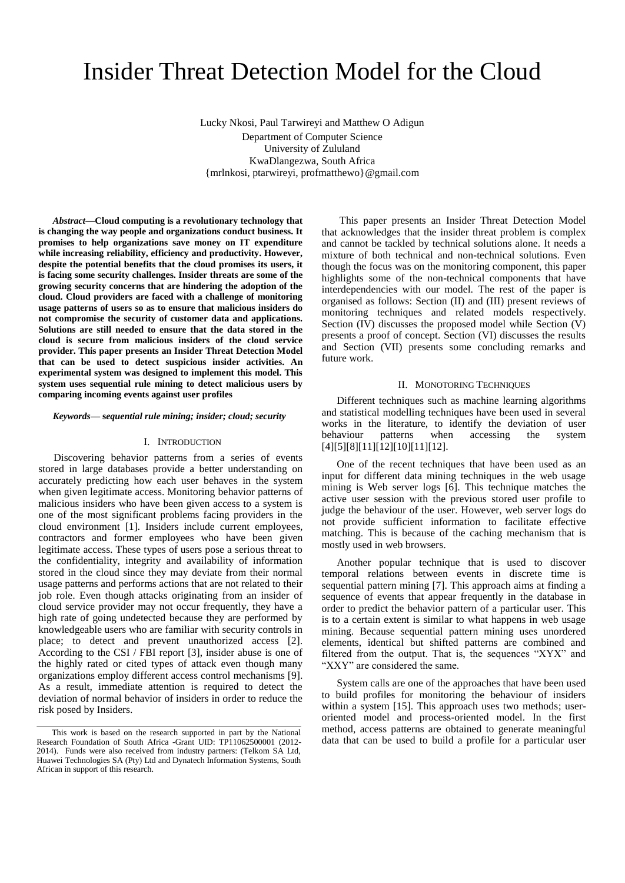# Insider Threat Detection Model for the Cloud

Lucky Nkosi, Paul Tarwireyi and Matthew O Adigun Department of Computer Science University of Zululand KwaDlangezwa, South Africa {mrlnkosi, ptarwireyi, profmatthewo}@gmail.com

*Abstract***—Cloud computing is a revolutionary technology that is changing the way people and organizations conduct business. It promises to help organizations save money on IT expenditure while increasing reliability, efficiency and productivity. However, despite the potential benefits that the cloud promises its users, it is facing some security challenges. Insider threats are some of the growing security concerns that are hindering the adoption of the cloud. Cloud providers are faced with a challenge of monitoring usage patterns of users so as to ensure that malicious insiders do not compromise the security of customer data and applications. Solutions are still needed to ensure that the data stored in the cloud is secure from malicious insiders of the cloud service provider. This paper presents an Insider Threat Detection Model that can be used to detect suspicious insider activities. An experimental system was designed to implement this model. This system uses sequential rule mining to detect malicious users by comparing incoming events against user profiles**

*Keywords—* **s***equential rule mining; insider; cloud; security*

#### I. INTRODUCTION

Discovering behavior patterns from a series of events stored in large databases provide a better understanding on accurately predicting how each user behaves in the system when given legitimate access. Monitoring behavior patterns of malicious insiders who have been given access to a system is one of the most significant problems facing providers in the cloud environment [1]. Insiders include current employees, contractors and former employees who have been given legitimate access. These types of users pose a serious threat to the confidentiality, integrity and availability of information stored in the cloud since they may deviate from their normal usage patterns and performs actions that are not related to their job role. Even though attacks originating from an insider of cloud service provider may not occur frequently, they have a high rate of going undetected because they are performed by knowledgeable users who are familiar with security controls in place; to detect and prevent unauthorized access [2]. According to the CSI / FBI report [3], insider abuse is one of the highly rated or cited types of attack even though many organizations employ different access control mechanisms [9]. As a result, immediate attention is required to detect the deviation of normal behavior of insiders in order to reduce the risk posed by Insiders.

This paper presents an Insider Threat Detection Model that acknowledges that the insider threat problem is complex and cannot be tackled by technical solutions alone. It needs a mixture of both technical and non-technical solutions. Even though the focus was on the monitoring component, this paper highlights some of the non-technical components that have interdependencies with our model. The rest of the paper is organised as follows: Section (II) and (III) present reviews of monitoring techniques and related models respectively. Section (IV) discusses the proposed model while Section (V) presents a proof of concept. Section (VI) discusses the results and Section (VII) presents some concluding remarks and future work.

## II. MONOTORING TECHNIQUES

Different techniques such as machine learning algorithms and statistical modelling techniques have been used in several works in the literature, to identify the deviation of user behaviour patterns when accessing the system [4][5][8][11][12][10][11][12].

One of the recent techniques that have been used as an input for different data mining techniques in the web usage mining is Web server logs [6]. This technique matches the active user session with the previous stored user profile to judge the behaviour of the user. However, web server logs do not provide sufficient information to facilitate effective matching. This is because of the caching mechanism that is mostly used in web browsers.

Another popular technique that is used to discover temporal relations between events in discrete time is sequential pattern mining [7]. This approach aims at finding a sequence of events that appear frequently in the database in order to predict the behavior pattern of a particular user. This is to a certain extent is similar to what happens in web usage mining. Because sequential pattern mining uses unordered elements, identical but shifted patterns are combined and filtered from the output. That is, the sequences "XYX" and "XXY" are considered the same.

System calls are one of the approaches that have been used to build profiles for monitoring the behaviour of insiders within a system [15]. This approach uses two methods; useroriented model and process-oriented model. In the first method, access patterns are obtained to generate meaningful data that can be used to build a profile for a particular user

This work is based on the research supported in part by the National Research Foundation of South Africa -Grant UID: TP11062500001 (2012- 2014). Funds were also received from industry partners: (Telkom SA Ltd, Huawei Technologies SA (Pty) Ltd and Dynatech Information Systems, South African in support of this research.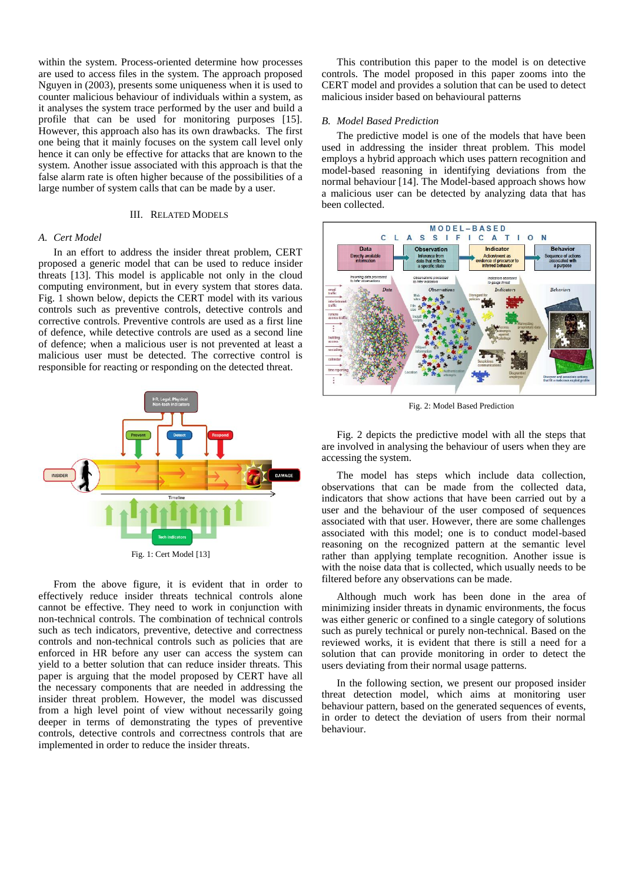within the system. Process-oriented determine how processes are used to access files in the system. The approach proposed Nguyen in (2003), presents some uniqueness when it is used to counter malicious behaviour of individuals within a system, as it analyses the system trace performed by the user and build a profile that can be used for monitoring purposes [15]. However, this approach also has its own drawbacks. The first one being that it mainly focuses on the system call level only hence it can only be effective for attacks that are known to the system. Another issue associated with this approach is that the false alarm rate is often higher because of the possibilities of a large number of system calls that can be made by a user.

## III. RELATED MODELS

## *A. Cert Model*

In an effort to address the insider threat problem, CERT proposed a generic model that can be used to reduce insider threats [13]. This model is applicable not only in the cloud computing environment, but in every system that stores data. Fig. 1 shown below, depicts the CERT model with its various controls such as preventive controls, detective controls and corrective controls. Preventive controls are used as a first line of defence, while detective controls are used as a second line of defence; when a malicious user is not prevented at least a malicious user must be detected. The corrective control is responsible for reacting or responding on the detected threat.



From the above figure, it is evident that in order to effectively reduce insider threats technical controls alone cannot be effective. They need to work in conjunction with non-technical controls. The combination of technical controls such as tech indicators, preventive, detective and correctness controls and non-technical controls such as policies that are enforced in HR before any user can access the system can yield to a better solution that can reduce insider threats. This paper is arguing that the model proposed by CERT have all the necessary components that are needed in addressing the insider threat problem. However, the model was discussed from a high level point of view without necessarily going deeper in terms of demonstrating the types of preventive controls, detective controls and correctness controls that are implemented in order to reduce the insider threats.

This contribution this paper to the model is on detective controls. The model proposed in this paper zooms into the CERT model and provides a solution that can be used to detect malicious insider based on behavioural patterns

## *B. Model Based Prediction*

The predictive model is one of the models that have been used in addressing the insider threat problem. This model employs a hybrid approach which uses pattern recognition and model-based reasoning in identifying deviations from the normal behaviour [14]. The Model-based approach shows how a malicious user can be detected by analyzing data that has been collected.



Fig. 2: Model Based Prediction

Fig. 2 depicts the predictive model with all the steps that are involved in analysing the behaviour of users when they are accessing the system.

The model has steps which include data collection, observations that can be made from the collected data, indicators that show actions that have been carried out by a user and the behaviour of the user composed of sequences associated with that user. However, there are some challenges associated with this model; one is to conduct model-based reasoning on the recognized pattern at the semantic level rather than applying template recognition. Another issue is with the noise data that is collected, which usually needs to be filtered before any observations can be made.

Although much work has been done in the area of minimizing insider threats in dynamic environments, the focus was either generic or confined to a single category of solutions such as purely technical or purely non-technical. Based on the reviewed works, it is evident that there is still a need for a solution that can provide monitoring in order to detect the users deviating from their normal usage patterns.

In the following section, we present our proposed insider threat detection model, which aims at monitoring user behaviour pattern, based on the generated sequences of events, in order to detect the deviation of users from their normal behaviour.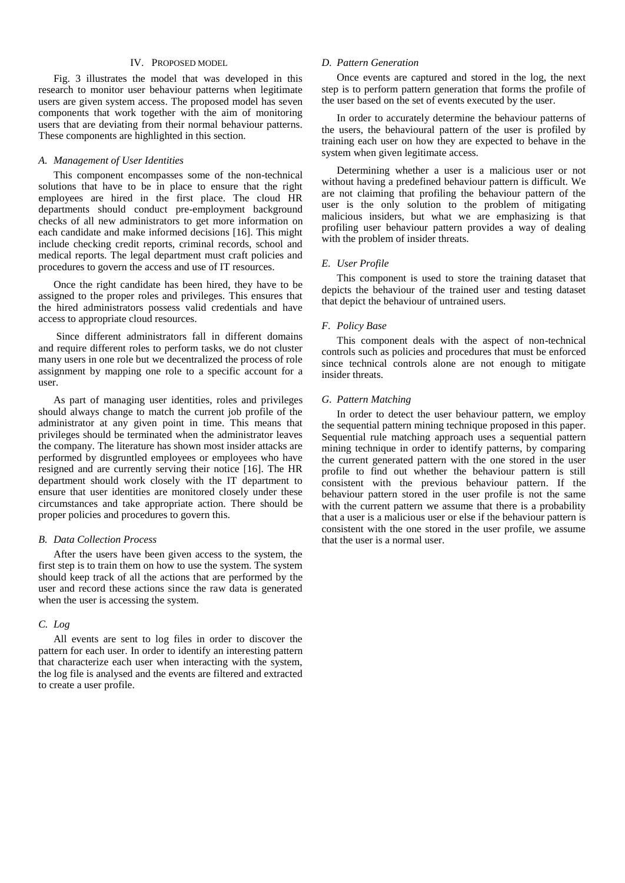## IV. PROPOSED MODEL

Fig. 3 illustrates the model that was developed in this research to monitor user behaviour patterns when legitimate users are given system access. The proposed model has seven components that work together with the aim of monitoring users that are deviating from their normal behaviour patterns. These components are highlighted in this section.

## *A. Management of User Identities*

This component encompasses some of the non-technical solutions that have to be in place to ensure that the right employees are hired in the first place. The cloud HR departments should conduct pre-employment background checks of all new administrators to get more information on each candidate and make informed decisions [16]. This might include checking credit reports, criminal records, school and medical reports. The legal department must craft policies and procedures to govern the access and use of IT resources.

Once the right candidate has been hired, they have to be assigned to the proper roles and privileges. This ensures that the hired administrators possess valid credentials and have access to appropriate cloud resources.

Since different administrators fall in different domains and require different roles to perform tasks, we do not cluster many users in one role but we decentralized the process of role assignment by mapping one role to a specific account for a user.

As part of managing user identities, roles and privileges should always change to match the current job profile of the administrator at any given point in time. This means that privileges should be terminated when the administrator leaves the company. The literature has shown most insider attacks are performed by disgruntled employees or employees who have resigned and are currently serving their notice [16]. The HR department should work closely with the IT department to ensure that user identities are monitored closely under these circumstances and take appropriate action. There should be proper policies and procedures to govern this.

## *B. Data Collection Process*

After the users have been given access to the system, the first step is to train them on how to use the system. The system should keep track of all the actions that are performed by the user and record these actions since the raw data is generated when the user is accessing the system.

# *C. Log*

All events are sent to log files in order to discover the pattern for each user. In order to identify an interesting pattern that characterize each user when interacting with the system, the log file is analysed and the events are filtered and extracted to create a user profile.

## *D. Pattern Generation*

Once events are captured and stored in the log, the next step is to perform pattern generation that forms the profile of the user based on the set of events executed by the user.

In order to accurately determine the behaviour patterns of the users, the behavioural pattern of the user is profiled by training each user on how they are expected to behave in the system when given legitimate access.

Determining whether a user is a malicious user or not without having a predefined behaviour pattern is difficult. We are not claiming that profiling the behaviour pattern of the user is the only solution to the problem of mitigating malicious insiders, but what we are emphasizing is that profiling user behaviour pattern provides a way of dealing with the problem of insider threats.

## *E. User Profile*

This component is used to store the training dataset that depicts the behaviour of the trained user and testing dataset that depict the behaviour of untrained users.

### *F. Policy Base*

This component deals with the aspect of non-technical controls such as policies and procedures that must be enforced since technical controls alone are not enough to mitigate insider threats.

## *G. Pattern Matching*

In order to detect the user behaviour pattern, we employ the sequential pattern mining technique proposed in this paper. Sequential rule matching approach uses a sequential pattern mining technique in order to identify patterns, by comparing the current generated pattern with the one stored in the user profile to find out whether the behaviour pattern is still consistent with the previous behaviour pattern. If the behaviour pattern stored in the user profile is not the same with the current pattern we assume that there is a probability that a user is a malicious user or else if the behaviour pattern is consistent with the one stored in the user profile, we assume that the user is a normal user.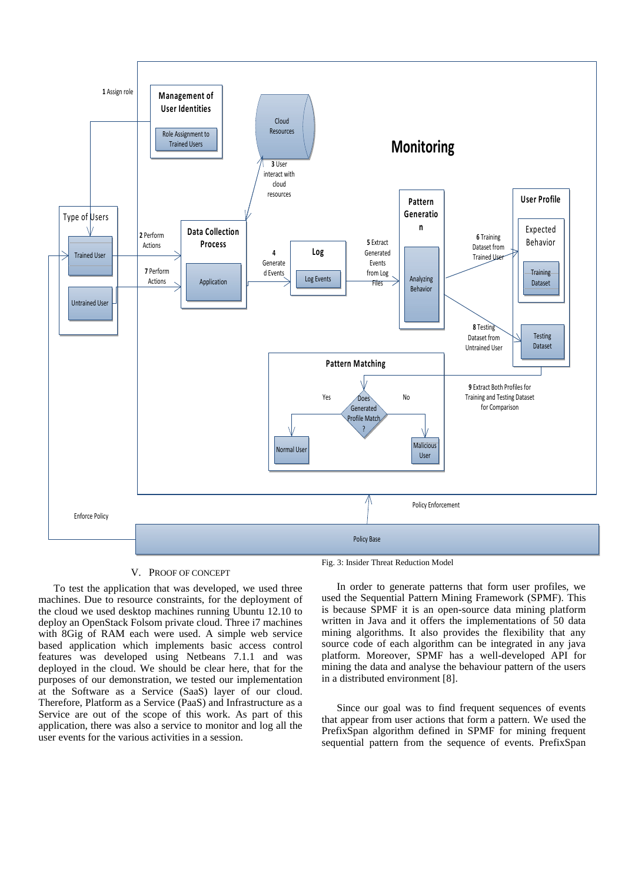

## V. PROOF OF CONCEPT

To test the application that was developed, we used three machines. Due to resource constraints, for the deployment of the cloud we used desktop machines running Ubuntu 12.10 to deploy an OpenStack Folsom private cloud. Three i7 machines with 8Gig of RAM each were used. A simple web service based application which implements basic access control features was developed using Netbeans 7.1.1 and was deployed in the cloud. We should be clear here, that for the purposes of our demonstration, we tested our implementation at the Software as a Service (SaaS) layer of our cloud. Therefore, Platform as a Service (PaaS) and Infrastructure as a Service are out of the scope of this work. As part of this application, there was also a service to monitor and log all the user events for the various activities in a session.

Fig. 3: Insider Threat Reduction Model

In order to generate patterns that form user profiles, we used the Sequential Pattern Mining Framework (SPMF). This is because SPMF it is an open-source data mining platform written in Java and it offers the implementations of 50 data mining algorithms. It also provides the flexibility that any source code of each algorithm can be integrated in any java platform. Moreover, SPMF has a well-developed API for mining the data and analyse the behaviour pattern of the users in a distributed environment [8].

Since our goal was to find frequent sequences of events that appear from user actions that form a pattern. We used the PrefixSpan algorithm defined in SPMF for mining frequent sequential pattern from the sequence of events. PrefixSpan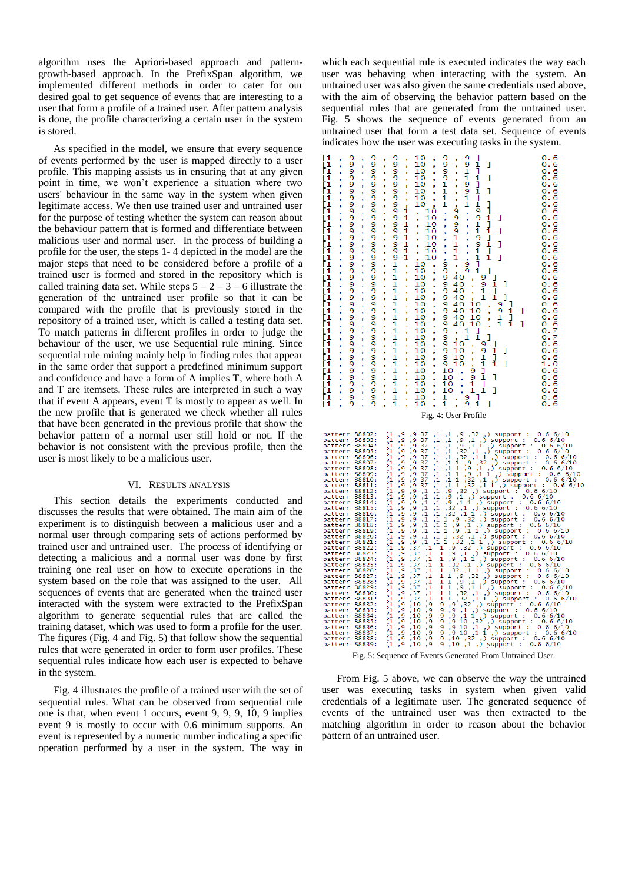algorithm uses the Apriori-based approach and patterngrowth-based approach. In the PrefixSpan algorithm, we implemented different methods in order to cater for our desired goal to get sequence of events that are interesting to a user that form a profile of a trained user. After pattern analysis is done, the profile characterizing a certain user in the system is stored.

As specified in the model, we ensure that every sequence of events performed by the user is mapped directly to a user profile. This mapping assists us in ensuring that at any given point in time, we won't experience a situation where two users' behaviour in the same way in the system when given legitimate access. We then use trained user and untrained user for the purpose of testing whether the system can reason about the behaviour pattern that is formed and differentiate between malicious user and normal user. In the process of building a profile for the user, the steps 1- 4 depicted in the model are the major steps that need to be considered before a profile of a trained user is formed and stored in the repository which is called training data set. While steps  $5 - 2 - 3 - 6$  illustrate the generation of the untrained user profile so that it can be compared with the profile that is previously stored in the repository of a trained user, which is called a testing data set. To match patterns in different profiles in order to judge the behaviour of the user, we use Sequential rule mining. Since sequential rule mining mainly help in finding rules that appear in the same order that support a predefined minimum support and confidence and have a form of A implies T, where both A and T are itemsets. These rules are interpreted in such a way that if event A appears, event T is mostly to appear as well. In the new profile that is generated we check whether all rules that have been generated in the previous profile that show the behavior pattern of a normal user still hold or not. If the behavior is not consistent with the previous profile, then the user is most likely to be a malicious user.

#### VI. RESULTS ANALYSIS

This section details the experiments conducted and discusses the results that were obtained. The main aim of the experiment is to distinguish between a malicious user and a normal user through comparing sets of actions performed by trained user and untrained user. The process of identifying or detecting a malicious and a normal user was done by first training one real user on how to execute operations in the system based on the role that was assigned to the user. All sequences of events that are generated when the trained user interacted with the system were extracted to the PrefixSpan algorithm to generate sequential rules that are called the training dataset, which was used to form a profile for the user. The figures (Fig. 4 and Fig. 5) that follow show the sequential rules that were generated in order to form user profiles. These sequential rules indicate how each user is expected to behave in the system.

Fig. 4 illustrates the profile of a trained user with the set of sequential rules. What can be observed from sequential rule one is that, when event 1 occurs, event 9, 9, 9, 10, 9 implies event 9 is mostly to occur with 0.6 minimum supports. An event is represented by a numeric number indicating a specific operation performed by a user in the system. The way in

which each sequential rule is executed indicates the way each user was behaving when interacting with the system. An untrained user was also given the same credentials used above, with the aim of observing the behavior pattern based on the sequential rules that are generated from the untrained user. Fig. 5 shows the sequence of events generated from an untrained user that form a test data set. Sequence of events indicates how the user was executing tasks in the system.



From Fig. 5 above, we can observe the way the untrained user was executing tasks in system when given valid credentials of a legitimate user. The generated sequence of events of the untrained user was then extracted to the matching algorithm in order to reason about the behavior pattern of an untrained user.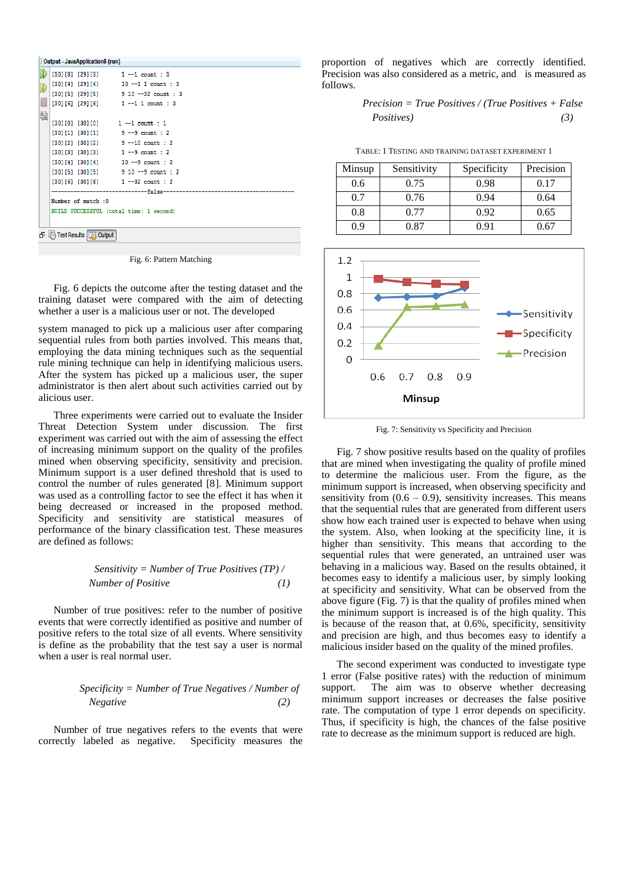|                              | : Output - JavaApplication8 (run)       |                     |                                      |  |  |  |  |  |
|------------------------------|-----------------------------------------|---------------------|--------------------------------------|--|--|--|--|--|
| D                            |                                         |                     | $[30][3][29][3]$ 1 --1 count : 3     |  |  |  |  |  |
|                              |                                         |                     | $[30][4] [29][4]$ 10 --1 1 count : 3 |  |  |  |  |  |
|                              |                                         |                     | $[30][5] [29][5]$ 9 10 --32 count: 3 |  |  |  |  |  |
| o                            |                                         |                     | $[30][6] [29][6]$ 1 --1 1 count : 3  |  |  |  |  |  |
| 器                            |                                         |                     |                                      |  |  |  |  |  |
|                              |                                         |                     | $[30][0][30][0]$ 1 --1 count : 1     |  |  |  |  |  |
|                              |                                         |                     | $[30][1] [30][1]$ 9 --9 count : 2    |  |  |  |  |  |
|                              |                                         | $[30][2]$ $[30][2]$ | $9 - 10$ count : 2                   |  |  |  |  |  |
|                              |                                         |                     | $[30][3][30][3]$ 1 --9 count : 2     |  |  |  |  |  |
|                              |                                         |                     | $[30][4][30][4]$ 10 --9 count : 2    |  |  |  |  |  |
|                              |                                         |                     | $[30][5] [30][5]$ 9 10 --9 count : 2 |  |  |  |  |  |
|                              |                                         |                     | $[30][6] [30][6]$ 1 --32 count : 2   |  |  |  |  |  |
|                              |                                         |                     |                                      |  |  |  |  |  |
|                              | Number of match : 0                     |                     |                                      |  |  |  |  |  |
|                              | BUILD SUCCESSFUL (total time: 1 second) |                     |                                      |  |  |  |  |  |
|                              |                                         |                     |                                      |  |  |  |  |  |
| Test Results <b>B</b> Output |                                         |                     |                                      |  |  |  |  |  |
|                              |                                         |                     |                                      |  |  |  |  |  |

Fig. 6: Pattern Matching

Fig. 6 depicts the outcome after the testing dataset and the training dataset were compared with the aim of detecting whether a user is a malicious user or not. The developed

system managed to pick up a malicious user after comparing sequential rules from both parties involved. This means that, employing the data mining techniques such as the sequential rule mining technique can help in identifying malicious users. After the system has picked up a malicious user, the super administrator is then alert about such activities carried out by alicious user.

Three experiments were carried out to evaluate the Insider Threat Detection System under discussion. The first experiment was carried out with the aim of assessing the effect of increasing minimum support on the quality of the profiles mined when observing specificity, sensitivity and precision. Minimum support is a user defined threshold that is used to control the number of rules generated [8]. Minimum support was used as a controlling factor to see the effect it has when it being decreased or increased in the proposed method. Specificity and sensitivity are statistical measures of performance of the binary classification test. These measures are defined as follows:

Sensitivity = Number of True Positives 
$$
(TP)
$$
 / Number of Positive  $(1)$ 

Number of true positives: refer to the number of positive events that were correctly identified as positive and number of positive refers to the total size of all events. Where sensitivity is define as the probability that the test say a user is normal when a user is real normal user.

## *Specificity = Number of True Negatives / Number of Negative (2)*

Number of true negatives refers to the events that were correctly labeled as negative. Specificity measures the

proportion of negatives which are correctly identified. Precision was also considered as a metric, and is measured as follows.

$$
Precision = True Positives / (True Positives + False\nPositives)
$$
\n(3)

TABLE: 1 TESTING AND TRAINING DATASET EXPERIMENT 1

| Minsup | Sensitivity | Specificity | Precision |
|--------|-------------|-------------|-----------|
| 0.6    | 0.75        | 0.98        | 0.17      |
| 0.7    | 0.76        | 0.94        | 0.64      |
| 0.8    | 0.77        | 0.92        | 0.65      |
| 09     | 0.87        | 0.91        | 0.67      |



Fig. 7: Sensitivity vs Specificity and Precision

Fig. 7 show positive results based on the quality of profiles that are mined when investigating the quality of profile mined to determine the malicious user. From the figure, as the minimum support is increased, when observing specificity and sensitivity from  $(0.6 - 0.9)$ , sensitivity increases. This means that the sequential rules that are generated from different users show how each trained user is expected to behave when using the system. Also, when looking at the specificity line, it is higher than sensitivity. This means that according to the sequential rules that were generated, an untrained user was behaving in a malicious way. Based on the results obtained, it becomes easy to identify a malicious user, by simply looking at specificity and sensitivity. What can be observed from the above figure (Fig. 7) is that the quality of profiles mined when the minimum support is increased is of the high quality. This is because of the reason that, at 0.6%, specificity, sensitivity and precision are high, and thus becomes easy to identify a malicious insider based on the quality of the mined profiles.

The second experiment was conducted to investigate type 1 error (False positive rates) with the reduction of minimum support. The aim was to observe whether decreasing minimum support increases or decreases the false positive rate. The computation of type 1 error depends on specificity. Thus, if specificity is high, the chances of the false positive rate to decrease as the minimum support is reduced are high.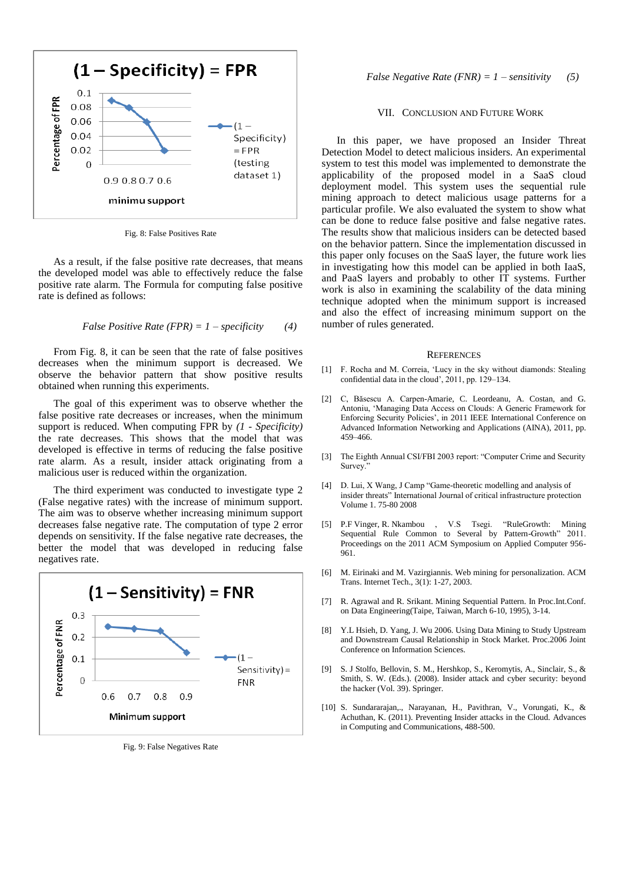

Fig. 8: False Positives Rate

As a result, if the false positive rate decreases, that means the developed model was able to effectively reduce the false positive rate alarm. The Formula for computing false positive rate is defined as follows:

False Positive Rate (FPR) = 
$$
1
$$
 – specificity (4)

From Fig. 8, it can be seen that the rate of false positives decreases when the minimum support is decreased. We observe the behavior pattern that show positive results obtained when running this experiments.

The goal of this experiment was to observe whether the false positive rate decreases or increases, when the minimum support is reduced. When computing FPR by *(1 - Specificity)* the rate decreases. This shows that the model that was developed is effective in terms of reducing the false positive rate alarm. As a result, insider attack originating from a malicious user is reduced within the organization.

The third experiment was conducted to investigate type 2 (False negative rates) with the increase of minimum support. The aim was to observe whether increasing minimum support decreases false negative rate. The computation of type 2 error depends on sensitivity. If the false negative rate decreases, the better the model that was developed in reducing false negatives rate.



Fig. 9: False Negatives Rate

#### VII. CONCLUSION AND FUTURE WORK

In this paper, we have proposed an Insider Threat Detection Model to detect malicious insiders. An experimental system to test this model was implemented to demonstrate the applicability of the proposed model in a SaaS cloud deployment model. This system uses the sequential rule mining approach to detect malicious usage patterns for a particular profile. We also evaluated the system to show what can be done to reduce false positive and false negative rates. The results show that malicious insiders can be detected based on the behavior pattern. Since the implementation discussed in this paper only focuses on the SaaS layer, the future work lies in investigating how this model can be applied in both IaaS, and PaaS layers and probably to other IT systems. Further work is also in examining the scalability of the data mining technique adopted when the minimum support is increased and also the effect of increasing minimum support on the number of rules generated.

#### **REFERENCES**

- [1] F. Rocha and M. Correia, 'Lucy in the sky without diamonds: Stealing confidential data in the cloud', 2011, pp. 129–134.
- C, Băsescu A. Carpen-Amarie, C. Leordeanu, A. Costan, and G. Antoniu, 'Managing Data Access on Clouds: A Generic Framework for Enforcing Security Policies', in 2011 IEEE International Conference on Advanced Information Networking and Applications (AINA), 2011, pp. 459–466.
- [3] The Eighth Annual CSI/FBI 2003 report: "Computer Crime and Security Survey."
- [4] D. Lui, X Wang, J Camp "Game-theoretic modelling and analysis of insider threats" International Journal of critical infrastructure protection Volume 1. 75-80 2008
- [5] P.F Vinger, R. Nkambou , V.S Tsegi. "RuleGrowth: Mining Sequential Rule Common to Several by Pattern-Growth" 2011. Proceedings on the 2011 ACM Symposium on Applied Computer 956- 961.
- [6] M. Eirinaki and M. Vazirgiannis. Web mining for personalization. ACM Trans. Internet Tech., 3(1): 1-27, 2003.
- [7] R. Agrawal and R. Srikant. Mining Sequential Pattern. In Proc.Int.Conf. on Data Engineering(Taipe, Taiwan, March 6-10, 1995), 3-14.
- [8] Y.L Hsieh, D. Yang, J. Wu 2006. Using Data Mining to Study Upstream and Downstream Causal Relationship in Stock Market. Proc.2006 Joint Conference on Information Sciences.
- [9] S. J Stolfo, Bellovin, S. M., Hershkop, S., Keromytis, A., Sinclair, S., & Smith, S. W. (Eds.). (2008). Insider attack and cyber security: beyond the hacker (Vol. 39). Springer.
- [10] S. Sundararajan,., Narayanan, H., Pavithran, V., Vorungati, K., & Achuthan, K. (2011). Preventing Insider attacks in the Cloud. Advances in Computing and Communications, 488-500.